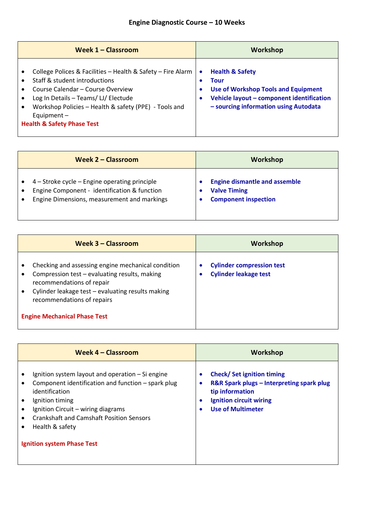## **Engine Diagnostic Course – 10 Weeks**

|           | Week $1 -$ Classroom                                                                                                                                                                                                                                                                         |                                  | <b>Workshop</b>                                                                                                                                                        |
|-----------|----------------------------------------------------------------------------------------------------------------------------------------------------------------------------------------------------------------------------------------------------------------------------------------------|----------------------------------|------------------------------------------------------------------------------------------------------------------------------------------------------------------------|
| $\bullet$ | College Polices & Facilities - Health & Safety - Fire Alarm<br>Staff & student introductions<br>Course Calendar - Course Overview<br>Log In Details - Teams/ LJ/ Electude<br>Workshop Policies - Health & safety (PPE) - Tools and<br>Equipment $-$<br><b>Health &amp; Safety Phase Test</b> | $\bullet$<br>$\bullet$<br>٠<br>٠ | <b>Health &amp; Safety</b><br>Tour<br><b>Use of Workshop Tools and Equipment</b><br>Vehicle layout - component identification<br>- sourcing information using Autodata |

| <b>Week 2 - Classroom</b>                                                                                                                    | Workshop                                                                                   |
|----------------------------------------------------------------------------------------------------------------------------------------------|--------------------------------------------------------------------------------------------|
| 4 - Stroke cycle - Engine operating principle<br>Engine Component - identification & function<br>Engine Dimensions, measurement and markings | <b>Engine dismantle and assemble</b><br><b>Valve Timing</b><br><b>Component inspection</b> |

| Week 3 – Classroom                                                                                                                                                                                                                                         | Workshop                                                              |
|------------------------------------------------------------------------------------------------------------------------------------------------------------------------------------------------------------------------------------------------------------|-----------------------------------------------------------------------|
| Checking and assessing engine mechanical condition<br>Compression test - evaluating results, making<br>recommendations of repair<br>Cylinder leakage test - evaluating results making<br>recommendations of repairs<br><b>Engine Mechanical Phase Test</b> | <b>Cylinder compression test</b><br>٠<br><b>Cylinder leakage test</b> |

| Week 4 – Classroom                                                                                                                                                                                                                                                                                                            | Workshop                                                                                                                                                                                              |
|-------------------------------------------------------------------------------------------------------------------------------------------------------------------------------------------------------------------------------------------------------------------------------------------------------------------------------|-------------------------------------------------------------------------------------------------------------------------------------------------------------------------------------------------------|
| Ignition system layout and operation $-$ Si engine<br>$\bullet$<br>Component identification and function - spark plug<br>٠<br>identification<br>Ignition timing<br>Ignition Circuit - wiring diagrams<br>$\bullet$<br><b>Crankshaft and Camshaft Position Sensors</b><br>Health & safety<br><b>Ignition system Phase Test</b> | <b>Check/Set ignition timing</b><br>$\bullet$<br>R&R Spark plugs - Interpreting spark plug<br>tip information<br><b>Ignition circuit wiring</b><br>$\bullet$<br><b>Use of Multimeter</b><br>$\bullet$ |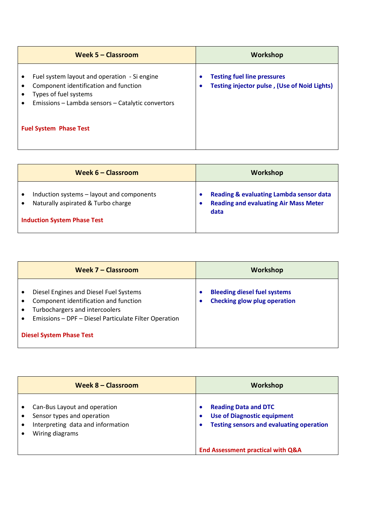|                               | Week 5 - Classroom                                                                                                                                                  |        | <b>Workshop</b>                                                                           |
|-------------------------------|---------------------------------------------------------------------------------------------------------------------------------------------------------------------|--------|-------------------------------------------------------------------------------------------|
|                               | Fuel system layout and operation - Si engine<br>Component identification and function<br>Types of fuel systems<br>Emissions - Lambda sensors - Catalytic convertors | ۰<br>c | <b>Testing fuel line pressures</b><br><b>Testing injector pulse, (Use of Noid Lights)</b> |
| <b>Fuel System Phase Test</b> |                                                                                                                                                                     |        |                                                                                           |

| Week $6 -$ Classroom                      | <b>Workshop</b>                              |
|-------------------------------------------|----------------------------------------------|
| Induction systems – layout and components | Reading & evaluating Lambda sensor data      |
| Naturally aspirated & Turbo charge        | <b>Reading and evaluating Air Mass Meter</b> |
| <b>Induction System Phase Test</b>        | data                                         |

| Week 7 - Classroom                                                                                                                                                                                                                      | Workshop                                                                   |
|-----------------------------------------------------------------------------------------------------------------------------------------------------------------------------------------------------------------------------------------|----------------------------------------------------------------------------|
| Diesel Engines and Diesel Fuel Systems<br>$\bullet$<br>Component identification and function<br>Turbochargers and intercoolers<br>Emissions - DPF - Diesel Particulate Filter Operation<br>$\bullet$<br><b>Diesel System Phase Test</b> | <b>Bleeding diesel fuel systems</b><br><b>Checking glow plug operation</b> |

| Week 8 – Classroom                                                                                                 | Workshop                                                                                                                            |
|--------------------------------------------------------------------------------------------------------------------|-------------------------------------------------------------------------------------------------------------------------------------|
| Can-Bus Layout and operation<br>Sensor types and operation<br>Interpreting data and information<br>Wiring diagrams | <b>Reading Data and DTC</b><br>G<br><b>Use of Diagnostic equipment</b><br>٠<br><b>Testing sensors and evaluating operation</b><br>O |
|                                                                                                                    | <b>End Assessment practical with Q&amp;A</b>                                                                                        |